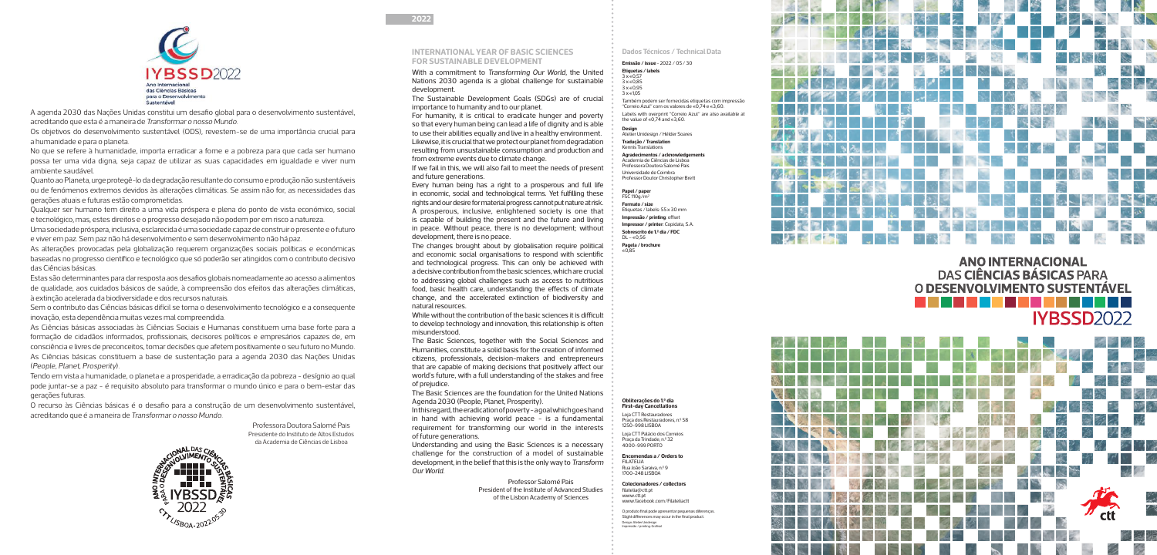## **2022**



## **ANO INTERNACIONAL** DAS CIÊNCIAS BÁSICAS PARA O DESENVOLVIMENTO SUSTENTÁVEL IYBSSD2022



With a commitment to Transforming Our World, the United Nations 2030 agenda is a global challenge for sustainable development.

The Sustainable Development Goals (SDGs) are of crucial importance to humanity and to our planet.

For humanity, it is critical to eradicate hunger and poverty so that every human being can lead a life of dignity and is able to use their abilities equally and live in a healthy environment. Likewise, it is crucial that we protect our planet from degradation resulting from unsustainable consumption and production and from extreme events due to climate change.

If we fail in this, we will also fail to meet the needs of present and future generations.

Every human being has a right to a prosperous and full life in economic, social and technological terms. Yet fulfilling these rights and our desire for material progress cannot put nature at risk. A prosperous, inclusive, enlightened society is one that is capable of building the present and the future and living in peace. Without peace, there is no development; without development, there is no peace.

The changes brought about by globalisation require political and economic social organisations to respond with scientific and technological progress. This can only be achieved with a decisive contribution from the basic sciences, which are crucial to addressing global challenges such as access to nutritious food, basic health care, understanding the effects of climate change, and the accelerated extinction of biodiversity and natural resources.

Também podem ser fornecidas etiquetas com impressão "Correio Azul" com os valores de  $\epsilon$ 0,74 e  $\epsilon$ 3,60.

Labels with overprint "Correio Azul" are also available at the value of  $\in$  0.74 and  $\in$  3.60.

Universidade de Coimbra Professor Doutor Christopher Bret

While without the contribution of the basic sciences it is difficult to develop technology and innovation, this relationship is often misunderstood.

 $FSC 110q/m<sup>2</sup>$ **Formato / size** Etiquetas / labels: 55 x 30 mm **Impressão / printing**: offset **Impressor / printer**: Copidata, S.A. **Sobrescrito de 1.º dia / FDC**  $DL - 60.56$ **Pagela / brochure**

The Basic Sciences, together with the Social Sciences and Humanities, constitute a solid basis for the creation of informed citizens, professionals, decision-makers and entrepreneurs that are capable of making decisions that positively affect our world's future, with a full understanding of the stakes and free of prejudice.

The Basic Sciences are the foundation for the United Nations Agenda 2030 (People, Planet, Prosperity).

In this regard, the eradication of poverty - a goal which goes hand in hand with achieving world peace - is a fundamental requirement for transforming our world in the interests of future generations.

Understanding and using the Basic Sciences is a necessary challenge for the construction of a model of sustainable development, in the belief that this is the only way to Transform Our World.

> Professor Salomé Pais President of the Institute of Advanced Studies of the Lisbon Academy of Sciences

## **INTERNATIONAL YEAR OF BASIC SCIENCES FOR SUSTAINABLE DEVELOPMENT**

## **Dados Técnicos / Technical Data**

**Emissão / issue** - 2022 / 05 / 30 **Etiquetas / labels**

 $3 \times 60.57$  $3 \times 60,85$ 

 $3 \times 60.95$ 

 $3 \times 6105$ 

**Design**

Atelier Unidesign / Hélder Soares

**Tradução / Translation** Kennis Translations **Agradecimentos / acknowledgements** Academia de Ciências de Lisboa Professora Doutora Salomé Pais

**Encomendas a / Orders to** FILATELIA Rua João Saraiva, n.º 9

1700-248 LISBOA **Colecionadores / collectors**  filatelia@ctt.pt

**Papel / paper**

 $\overline{\epsilon}$ 0,85



A agenda 2030 das Nações Unidas constitui um desafio global para o desenvolvimento sustentável, acreditando que esta é a maneira de Transformar o nosso Mundo.

Os objetivos do desenvolvimento sustentável (ODS), revestem-se de uma importância crucial para a humanidade e para o planeta.

No que se refere à humanidade, importa erradicar a fome e a pobreza para que cada ser humano possa ter uma vida digna, seja capaz de utilizar as suas capacidades em igualdade e viver num ambiente saudável.

Quanto ao Planeta, urge protegê-lo da degradação resultante do consumo e produção não sustentáveis ou de fenómenos extremos devidos às alterações climáticas. Se assim não for, as necessidades das gerações atuais e futuras estão comprometidas.

Qualquer ser humano tem direito a uma vida próspera e plena do ponto de vista económico, social e tecnológico, mas, estes direitos e o progresso desejado não podem por em risco a natureza.

Uma sociedade próspera, inclusiva, esclarecida é uma sociedade capaz de construir o presente e o futuro e viver em paz. Sem paz não há desenvolvimento e sem desenvolvimento não há paz.

As alterações provocadas pela globalização requerem organizações sociais políticas e económicas baseadas no progresso científico e tecnológico que só poderão ser atingidos com o contributo decisivo das Ciências básicas.

Estas são determinantes para dar resposta aos desafios globais nomeadamente ao acesso a alimentos de qualidade, aos cuidados básicos de saúde, à compreensão dos efeitos das alterações climáticas, à extinção acelerada da biodiversidade e dos recursos naturais.

Sem o contributo das Ciências básicas difícil se torna o desenvolvimento tecnológico e a consequente inovação, esta dependência muitas vezes mal compreendida.

As Ciências básicas associadas às Ciências Sociais e Humanas constituem uma base forte para a formação de cidadãos informados, profissionais, decisores políticos e empresários capazes de, em consciência e livres de preconceitos, tomar decisões que afetem positivamente o seu futuro no Mundo. As Ciências básicas constituem a base de sustentação para a agenda 2030 das Nações Unidas (People, Planet, Prosperity).

Tendo em vista a humanidade, o planeta e a prosperidade, a erradicação da pobreza - desígnio ao qual pode juntar-se a paz - é requisito absoluto para transformar o mundo único e para o bem-estar das gerações futuras.

O recurso às Ciências básicas é o desafio para a construção de um desenvolvimento sustentável, acreditando que é a maneira de Transformar o nosso Mundo.

> Professora Doutora Salomé Pais Presidente do Instituto de Altos Estudos da Academia de Ciências de Lisboa



**Obliterações do 1.º dia First-day Cancellations** Loja CTT Restauradores

Praça dos Restauradores, n.º 58 Loja CTT Palácio dos Correios

1250-998 LISBOA

Praça da Trindade, n.º 32 4000-999 PORTO

www.ctt.pt www.facebook.com/Filateliactt

O produto final pode apresentar pequenas diferenças. Slight differences may occur in the final product. Design: Atelier Unidesign Impressão / printing: Grafisol